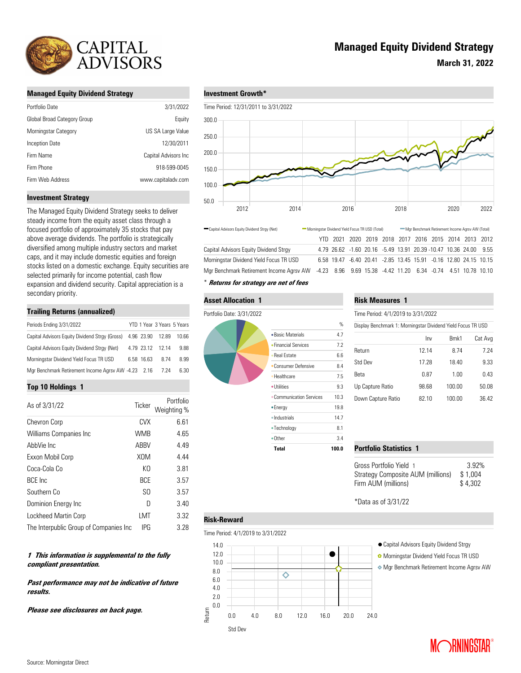

# **Managed Equity Dividend Strategy**

| Portfolio Date              | 3/31/2022             |
|-----------------------------|-----------------------|
| Global Broad Category Group | Equity                |
| Morningstar Category        | US SA Large Value     |
| Inception Date              | 12/30/2011            |
| Firm Name                   | Capital Advisors Inc. |
| Firm Phone                  | 918-599-0045          |
| Firm Web Address            | www.capitaladv.com    |
|                             |                       |

# **Investment Strategy**

The Managed Equity Dividend Strategy seeks to deliver steady income from the equity asset class through a focused portfolio of approximately 35 stocks that pay above average dividends. The portfolio is strategically diversified among multiple industry sectors and market caps, and it may include domestic equities and foreign stocks listed on a domestic exchange. Equity securities are selected primarily for income potential, cash flow expansion and dividend security. Capital appreciation is a secondary priority.

# **Trailing Returns (annualized)**

| Periods Ending 3/31/2022                            |            | YTD 1 Year 3 Years 5 Years |       |
|-----------------------------------------------------|------------|----------------------------|-------|
| Capital Advisors Equity Dividend Strgy (Gross)      | 4.96 23.90 | 12.89                      | 10.66 |
| Capital Advisors Equity Dividend Strgy (Net)        |            | 4.79 23.12 12.14           | 9.88  |
| Morningstar Dividend Yield Focus TR USD             | 6.58 16.63 | 8 7 4                      | 8.99  |
| Mgr Benchmark Retirement Income Agrsv AW -4.23 2.16 |            | 7.24                       | 6.30  |

# **Top 10 Holdings 1**

| As of 3/31/22                          | Ticker           | Portfolio<br>Weighting % |
|----------------------------------------|------------------|--------------------------|
| <b>Chevron Corp</b>                    | <b>CVX</b>       | 6.61                     |
| Williams Companies Inc                 | <b>WMB</b>       | 4.65                     |
| AbbVie Inc                             | ABBV             | 4.49                     |
| Exxon Mobil Corp                       | X <sub>0</sub> M | 4.44                     |
| Coca-Cola Co                           | КO               | 3.81                     |
| <b>BCE</b> Inc                         | <b>BCF</b>       | 3.57                     |
| Southern Co                            | S <sub>0</sub>   | 3.57                     |
| Dominion Energy Inc                    | D                | 3.40                     |
| Lockheed Martin Corp                   | LMT              | 3.32                     |
| The Interpublic Group of Companies Inc | IPG              | 3.28                     |

# **1 This information is supplemental to the fully compliant presentation.**

**Past performance may not be indicative of future results.** 

**Please see disclosures on back page.**

### **Investment Growth\***



|                                                                                                        | YTD 2021 2020 2019 2018 2017 2016 2015 2014 2013 2012            |  |  |  |  |  |
|--------------------------------------------------------------------------------------------------------|------------------------------------------------------------------|--|--|--|--|--|
| Capital Advisors Equity Dividend Strgy                                                                 | 4.79 26.62 -1.60 20.16 -5.49 13.91 20.39 -10.47 10.36 24.00 9.55 |  |  |  |  |  |
| Morningstar Dividend Yield Focus TR USD                                                                | 6.58 19.47 -6.40 20.41 -2.85 13.45 15.91 -0.16 12.80 24.15 10.15 |  |  |  |  |  |
| Mgr Benchmark Retirement Income Agrsv AW -4.23 8.96 9.69 15.38 -4.42 11.20 6.34 -0.74 4.51 10.78 10.10 |                                                                  |  |  |  |  |  |

### \* **Returns for strategy are net of fees**

#### **Asset Allocation 1**

**Risk-Reward**

0.0 2.0 4.0 6.0 8.0 10.0 12.0

Return

Time Period: 4/1/2019 to 3/31/2022

Std Dev

0.0 4.0 8.0 12.0 16.0 20.0 24.0

 $\overline{\diamond}$ 



# **Risk Measures 1**

| Time Period: 4/1/2019 to 3/31/2022                           |       |        |       |  |  |  |
|--------------------------------------------------------------|-------|--------|-------|--|--|--|
| Display Benchmark 1: Morningstar Dividend Yield Focus TR USD |       |        |       |  |  |  |
| Bmk1<br>Inv<br>Cat Avg                                       |       |        |       |  |  |  |
| Return                                                       | 12.14 | 8.74   | 7.24  |  |  |  |
| Std Dev                                                      | 17 28 | 18.40  | 9.33  |  |  |  |
| Beta                                                         | 0.87  | 1.00   | 0.43  |  |  |  |
| Up Capture Ratio                                             | 98.68 | 100.00 | 50.08 |  |  |  |
| Down Capture Ratio                                           | 82 10 | 100.00 | 36.42 |  |  |  |

| <b>Portfolio Statistics 1</b>                                                              |                                |
|--------------------------------------------------------------------------------------------|--------------------------------|
| Gross Portfolio Yield 1<br><b>Strategy Composite AUM (millions)</b><br>Firm AUM (millions) | $3.92\%$<br>\$1.004<br>\$4.302 |
|                                                                                            |                                |

\*Data as of 3/31/22

- 14.0 Capital Advisors Equity Dividend Strgy
	- **O** Morningstar Dividend Yield Focus TR USD
	- Mgr Benchmark Retirement Income Agrsv AW
		- **MORNINGSTAR**

# **Managed Equity Dividend Strategy**